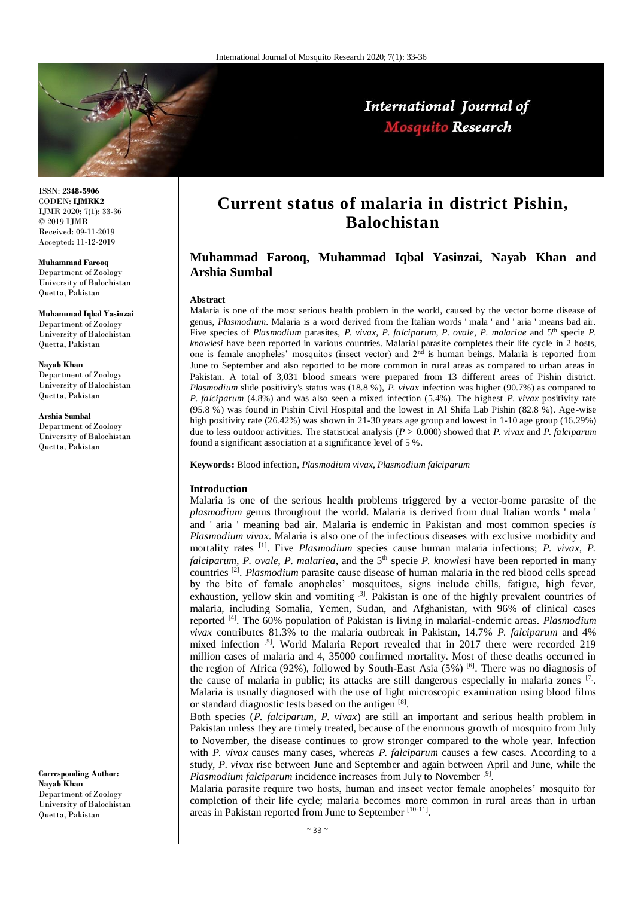

# International Journal of **Mosquito Research**

ISSN: **2348-5906** CODEN: **IJMRK2** IJMR 2020; 7(1): 33-36 © 2019 IJMR Received: 09-11-2019 Accepted: 11-12-2019

**Muhammad Farooq** Department of Zoology

University of Balochistan Quetta, Pakistan

**Muhammad Iqbal Yasinzai** Department of Zoology University of Balochistan Quetta, Pakistan

**Nayab Khan**  Department of Zoology University of Balochistan Quetta, Pakistan

**Arshia Sumbal** Department of Zoology University of Balochistan Quetta, Pakistan

**Corresponding Author: Nayab Khan**  Department of Zoology University of Balochistan Quetta, Pakistan

# **Current status of malaria in district Pishin, Balochistan**

## **Muhammad Farooq, Muhammad Iqbal Yasinzai, Nayab Khan and Arshia Sumbal**

### **Abstract**

Malaria is one of the most serious health problem in the world, caused by the vector borne disease of genus, *Plasmodium*. Malaria is a word derived from the Italian words ' mala ' and ' aria ' means bad air. Five species of *Plasmodium* parasites, *P. vivax, P. falciparum, P. ovale, P. malariae* and 5<sup>th</sup> specie *P. knowlesi* have been reported in various countries. Malarial parasite completes their life cycle in 2 hosts, one is female anopheles' mosquitos (insect vector) and  $2<sup>nd</sup>$  is human beings. Malaria is reported from June to September and also reported to be more common in rural areas as compared to urban areas in Pakistan. A total of 3,031 blood smears were prepared from 13 different areas of Pishin district. *Plasmodium* slide positivity's status was (18.8 %), *P. vivax* infection was higher (90.7%) as compared to *P. falciparum* (4.8%) and was also seen a mixed infection (5.4%). The highest *P. vivax* positivity rate (95.8 %) was found in Pishin Civil Hospital and the lowest in Al Shifa Lab Pishin (82.8 %). Age -wise high positivity rate (26.42%) was shown in 21-30 years age group and lowest in 1-10 age group (16.29%) due to less outdoor activities. The statistical analysis (*P >* 0.000) showed that *P. vivax* and *P. falciparum* found a significant association at a significance level of 5 %.

**Keywords:** Blood infection, *Plasmodium vivax, Plasmodium falciparum*

### **Introduction**

Malaria is one of the serious health problems triggered by a vector-borne parasite of the *plasmodium* genus throughout the world. Malaria is derived from dual Italian words ' mala ' and ' aria ' meaning bad air. Malaria is endemic in Pakistan and most common species *is Plasmodium vivax*. Malaria is also one of the infectious diseases with exclusive morbidity and mortality rates <sup>[1]</sup>. Five *Plasmodium* species cause human malaria infections; *P. vivax, P. falciparum, P. ovale, P. malariea, and the* 5<sup>th</sup> specie *P. knowlesi* have been reported in many countries [2] . *Plasmodium* parasite cause disease of human malaria in the red blood cells spread by the bite of female anopheles' mosquitoes, signs include chills, fatigue, high fever, exhaustion, yellow skin and vomiting <sup>[3]</sup>. Pakistan is one of the highly prevalent countries of malaria, including Somalia, Yemen, Sudan, and Afghanistan, with 96% of clinical cases reported [4]. The 60% population of Pakistan is living in malarial-endemic areas. *Plasmodium vivax* contributes 81.3% to the malaria outbreak in Pakistan, 14.7% *P. falciparum* and 4% mixed infection <sup>[5]</sup>. World Malaria Report revealed that in 2017 there were recorded 219 million cases of malaria and 4, 35000 confirmed mortality. Most of these deaths occurred in the region of Africa (92%), followed by South-East Asia (5%)  $^{[6]}$ . There was no diagnosis of the cause of malaria in public; its attacks are still dangerous especially in malaria zones [7]. Malaria is usually diagnosed with the use of light microscopic examination using blood films or standard diagnostic tests based on the antigen [8].

Both species (*P. falciparum, P. vivax*) are still an important and serious health problem in Pakistan unless they are timely treated, because of the enormous growth of mosquito from July to November, the disease continues to grow stronger compared to the whole year. Infection with *P. vivax* causes many cases, whereas *P. falciparum* causes a few cases. According to a study, *P. vivax* rise between June and September and again between April and June, while the Plasmodium falciparum incidence increases from July to November<sup>[9]</sup>.

Malaria parasite require two hosts, human and insect vector female anopheles' mosquito for completion of their life cycle; malaria becomes more common in rural areas than in urban areas in Pakistan reported from June to September<sup>[10-11]</sup>.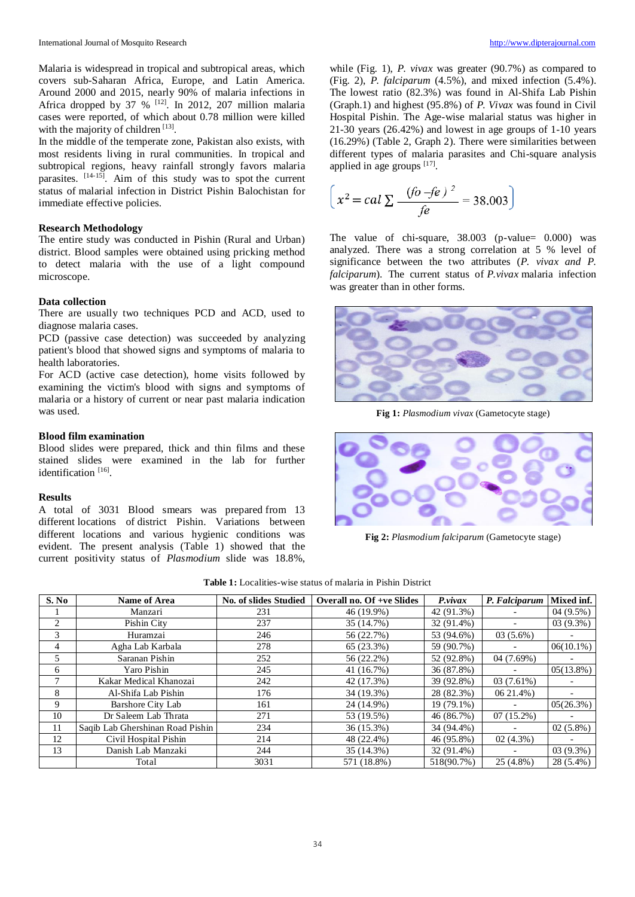Malaria is widespread in tropical and subtropical areas, which covers sub-Saharan Africa, Europe, and Latin America. Around 2000 and 2015, nearly 90% of malaria infections in Africa dropped by 37 %  $^{[12]}$ . In 2012, 207 million malaria cases were reported, of which about 0.78 million were killed with the majority of children [13].

In the middle of the temperate zone, Pakistan also exists, with most residents living in rural communities. In tropical and subtropical regions, heavy rainfall strongly favors malaria parasites. <sup>[14-15]</sup>. Aim of this study was to spot the current status of malarial infection in District Pishin Balochistan for immediate effective policies.

## **Research Methodology**

The entire study was conducted in Pishin (Rural and Urban) district. Blood samples were obtained using pricking method to detect malaria with the use of a light compound microscope.

## **Data collection**

There are usually two techniques PCD and ACD, used to diagnose malaria cases.

PCD (passive case detection) was succeeded by analyzing patient's blood that showed signs and symptoms of malaria to health laboratories.

For ACD (active case detection), home visits followed by examining the victim's blood with signs and symptoms of malaria or a history of current or near past malaria indication was used.

## **Blood film examination**

Blood slides were prepared, thick and thin films and these stained slides were examined in the lab for further identification<sup>[16]</sup>.

## **Results**

A total of 3031 Blood smears was prepared from 13 different locations of district Pishin. Variations between different locations and various hygienic conditions was evident. The present analysis (Table 1) showed that the current positivity status of *Plasmodium* slide was 18.8%,

while (Fig. 1), *P. vivax* was greater (90.7%) as compared to (Fig. 2), *P. falciparum* (4.5%), and mixed infection (5.4%). The lowest ratio (82.3%) was found in Al-Shifa Lab Pishin (Graph.1) and highest (95.8%) of *P. Vivax* was found in Civil Hospital Pishin. The Age-wise malarial status was higher in 21-30 years (26.42%) and lowest in age groups of 1-10 years (16.29%) (Table 2, Graph 2). There were similarities between different types of malaria parasites and Chi-square analysis applied in age groups  $[17]$ .

$$
\left(x^2 = cal \sum \frac{(fo - fe)^2}{fe} = 38.003\right)
$$

The value of chi-square, 38.003 (p-value= 0.000) was analyzed. There was a strong correlation at 5 % level of significance between the two attributes (*P. vivax and P. falciparum*). The current status of *P.vivax* malaria infection was greater than in other forms.



**Fig 1:** *Plasmodium vivax* (Gametocyte stage)



**Fig 2:** *Plasmodium falciparum* (Gametocyte stage)

| <b>Table 1:</b> Localities-wise status of malaria in Pishin District |  |
|----------------------------------------------------------------------|--|
|----------------------------------------------------------------------|--|

| S. No          | <b>Name of Area</b>              | No. of slides Studied | Overall no. Of +ve Slides | P.vivax      | P. Falciparum | Mixed inf.   |
|----------------|----------------------------------|-----------------------|---------------------------|--------------|---------------|--------------|
|                | Manzari                          | 231                   | 46 (19.9%)                | 42 (91.3%)   |               | $04(9.5\%)$  |
| $\overline{c}$ | Pishin City                      | 237                   | 35 (14.7%)                | 32 (91.4%)   |               | $03(9.3\%)$  |
| 3              | Huramzai                         | 246                   | 56 (22.7%)                | 53 (94.6%)   | $03(5.6\%)$   |              |
| 4              | Agha Lab Karbala                 | 278                   | 65(23.3%)                 | 59 (90.7%)   |               | $06(10.1\%)$ |
| 5              | Saranan Pishin                   | 252                   | 56 (22.2%)                | 52 (92.8%)   | 04 (7.69%)    |              |
| 6              | Yaro Pishin                      | 245                   | 41 (16.7%)                | 36 (87.8%)   |               | $05(13.8\%)$ |
| 7              | Kakar Medical Khanozai           | 242                   | 42 (17.3%)                | 39 (92.8%)   | $03(7.61\%)$  |              |
| 8              | Al-Shifa Lab Pishin              | 176                   | 34 (19.3%)                | 28 (82.3%)   | $0621.4\%$    |              |
| 9              | <b>Barshore City Lab</b>         | 161                   | 24 (14.9%)                | $19(79.1\%)$ |               | 05(26.3%)    |
| 10             | Dr Saleem Lab Thrata             | 271                   | 53 (19.5%)                | 46 (86.7%)   | $07(15.2\%)$  |              |
| 11             | Saqib Lab Ghershinan Road Pishin | 234                   | 36 (15.3%)                | 34 (94.4%)   |               | $02(5.8\%)$  |
| 12             | Civil Hospital Pishin            | 214                   | 48 (22.4%)                | 46 (95.8%)   | $02(4.3\%)$   |              |
| 13             | Danish Lab Manzaki               | 244                   | 35 (14.3%)                | $32(91.4\%)$ |               | $03(9.3\%)$  |
|                | Total                            | 3031                  | 571 (18.8%)               | 518(90.7%)   | $25(4.8\%)$   | $28(5.4\%)$  |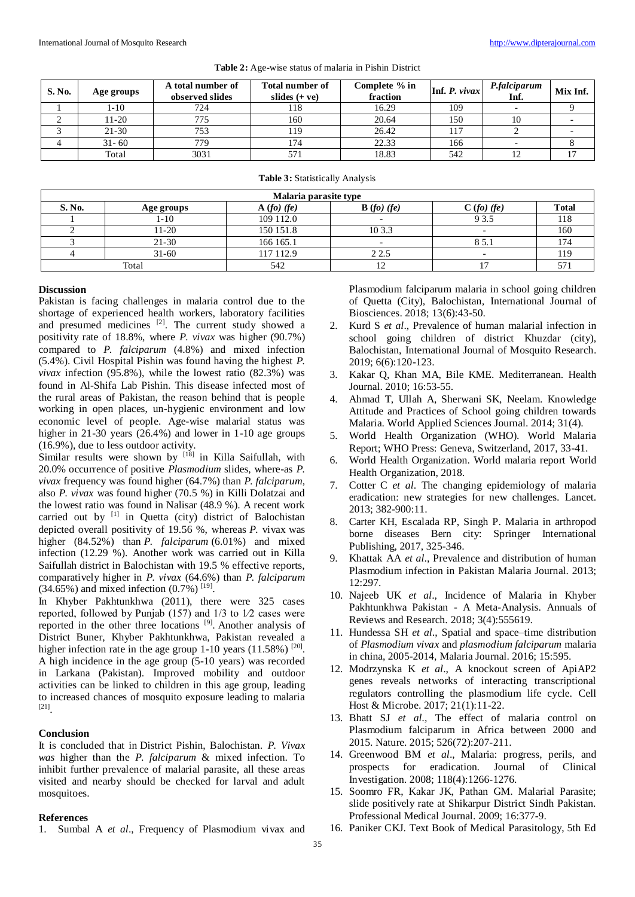| S. No. | Age groups | A total number of<br>observed slides | <b>Total number of</b><br>slides $(+$ ve) | Complete % in<br>fraction | $\left \text{Inf. } P\right $ vivax | P.falciparum<br>Inf. | Mix Inf. |
|--------|------------|--------------------------------------|-------------------------------------------|---------------------------|-------------------------------------|----------------------|----------|
|        | $1 - 10$   | 724                                  | 118                                       | 16.29                     | 109                                 |                      |          |
|        | $11 - 20$  | 775                                  | 160                                       | 20.64                     | 150                                 | 10                   |          |
|        | $21 - 30$  | 753                                  | 119                                       | 26.42                     | 117                                 |                      |          |
|        | $31 - 60$  | 779                                  | 174                                       | 22.33                     | 166                                 |                      |          |
|        | Total      | 3031                                 | 571                                       | 18.83                     | 542                                 | 12                   |          |

#### **Table 2:** Age-wise status of malaria in Pishin District

#### **Table 3:** Statistically Analysis

| Malaria parasite type |            |           |           |              |                 |  |
|-----------------------|------------|-----------|-----------|--------------|-----------------|--|
| S. No.                | Age groups | A(fo)(fe) | B(fo)(fe) | $C(fo)$ (fe) | <b>Total</b>    |  |
|                       | 1-10       | 109 112.0 |           | 9 3.5        | 118             |  |
|                       | $11 - 20$  | 150 151.8 | 10 3.3    |              | 160             |  |
|                       | $21 - 30$  | 166 165.1 |           | 8 5.1        | 17 <sub>4</sub> |  |
|                       | $31 - 60$  | 117 112.9 | 2 2.5     |              | 119             |  |
|                       | Total      | 542       |           |              | 57              |  |

#### **Discussion**

Pakistan is facing challenges in malaria control due to the shortage of experienced health workers, laboratory facilities and presumed medicines  $[2]$ . The current study showed a positivity rate of 18.8%, where *P. vivax* was higher (90.7%) compared to *P. falciparum* (4.8%) and mixed infection (5.4%). Civil Hospital Pishin was found having the highest *P. vivax* infection (95.8%), while the lowest ratio (82.3%) was found in Al-Shifa Lab Pishin. This disease infected most of the rural areas of Pakistan, the reason behind that is people working in open places, un-hygienic environment and low economic level of people. Age-wise malarial status was higher in 21-30 years (26.4%) and lower in 1-10 age groups (16.9%), due to less outdoor activity.

Similar results were shown by  $[18]$  in Killa Saifullah, with 20.0% occurrence of positive *Plasmodium* slides, where-as *P. vivax* frequency was found higher (64.7%) than *P. falciparum*, also *P. vivax* was found higher (70.5 %) in Killi Dolatzai and the lowest ratio was found in Nalisar (48.9 %). A recent work carried out by [1] in Quetta (city) district of Balochistan depicted overall positivity of 19.56 %, whereas *P.* vivax was higher (84.52%) than *P. falciparum* (6.01%) and mixed infection (12.29 %). Another work was carried out in Killa Saifullah district in Balochistan with 19.5 % effective reports, comparatively higher in *P. vivax* (64.6%) than *P. falciparum*  $(34.65\%)$  and mixed infection  $(0.7\%)$ <sup>[19]</sup>.

In Khyber Pakhtunkhwa (2011), there were 325 cases reported, followed by Punjab  $(157)$  and  $1/3$  to  $1/2$  cases were reported in the other three locations<sup>[9]</sup>. Another analysis of District Buner, Khyber Pakhtunkhwa, Pakistan revealed a higher infection rate in the age group 1-10 years  $(11.58\%)$ <sup>[20]</sup>. A high incidence in the age group (5-10 years) was recorded in Larkana (Pakistan). Improved mobility and outdoor activities can be linked to children in this age group, leading to increased chances of mosquito exposure leading to malaria [21] .

#### **Conclusion**

It is concluded that in District Pishin, Balochistan. *P. Vivax was* higher than the *P. falciparum* & mixed infection. To inhibit further prevalence of malarial parasite, all these areas visited and nearby should be checked for larval and adult mosquitoes.

#### **References**

1. Sumbal A *et al*., Frequency of Plasmodium vivax and

Plasmodium falciparum malaria in school going children of Quetta (City), Balochistan*,* International Journal of Biosciences. 2018; 13(6):43-50.

- 2. Kurd S *et al*., Prevalence of human malarial infection in school going children of district Khuzdar (city), Balochistan, International Journal of Mosquito Research. 2019; 6(6):120-123.
- 3. Kakar Q, Khan MA, Bile KME. Mediterranean. Health Journal. 2010; 16:53-55.
- 4. Ahmad T, Ullah A, Sherwani SK, Neelam. Knowledge Attitude and Practices of School going children towards Malaria. World Applied Sciences Journal. 2014; 31(4).
- 5. World Health Organization (WHO). World Malaria Report; WHO Press: Geneva, Switzerland, 2017, 33-41.
- 6. World Health Organization. World malaria report World Health Organization, 2018.
- 7. Cotter C *et al*. The changing epidemiology of malaria eradication: new strategies for new challenges*.* Lancet. 2013; 382-900:11.
- 8. Carter KH, Escalada RP, Singh P. Malaria in arthropod borne diseases Bern city: Springer International Publishing, 2017, 325-346.
- 9. Khattak AA *et al*., Prevalence and distribution of human Plasmodium infection in Pakistan Malaria Journal. 2013; 12:297.
- 10. Najeeb UK *et al*., Incidence of Malaria in Khyber Pakhtunkhwa Pakistan - A Meta-Analysis. Annuals of Reviews and Research. 2018; 3(4):555619.
- 11. Hundessa SH *et al*., Spatial and space–time distribution of *Plasmodium vivax* and *plasmodium falciparum* malaria in china, 2005-2014, Malaria Journal. 2016; 15:595.
- 12. Modrzynska K *et al*., A knockout screen of ApiAP2 genes reveals networks of interacting transcriptional regulators controlling the plasmodium life cycle. Cell Host & Microbe. 2017; 21(1):11-22.
- 13. Bhatt SJ *et al.,* The effect of malaria control on Plasmodium falciparum in Africa between 2000 and 2015. Nature. 2015; 526(72):207-211.
- 14. Greenwood BM *et al*., Malaria: progress, perils, and prospects for eradication*.* Journal of Clinical Investigation. 2008; 118(4):1266-1276.
- 15. Soomro FR, Kakar JK, Pathan GM. Malarial Parasite; slide positively rate at Shikarpur District Sindh Pakistan. Professional Medical Journal. 2009; 16:377-9.
- 16. Paniker CKJ. Text Book of Medical Parasitology, 5th Ed